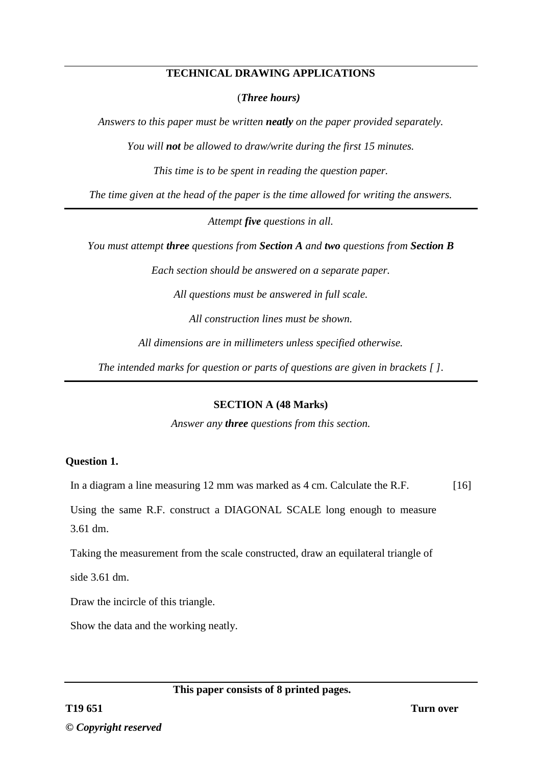### **TECHNICAL DRAWING APPLICATIONS**

(*Three hours)*

*Answers to this paper must be written neatly on the paper provided separately.*

*You will not be allowed to draw/write during the first 15 minutes.*

*This time is to be spent in reading the question paper.*

*The time given at the head of the paper is the time allowed for writing the answers.*

*Attempt five questions in all.*

*You must attempt three questions from Section A and two questions from Section B* 

*Each section should be answered on a separate paper.*

*All questions must be answered in full scale.*

*All construction lines must be shown.*

*All dimensions are in millimeters unless specified otherwise.*

*The intended marks for question or parts of questions are given in brackets [ ].*

# **SECTION A (48 Marks)**

*Answer any three questions from this section.*

# **Question 1.**

In a diagram a line measuring 12 mm was marked as 4 cm. Calculate the R.F. [16]

Using the same R.F. construct a DIAGONAL SCALE long enough to measure 3.61 dm.

Taking the measurement from the scale constructed, draw an equilateral triangle of

side 3.61 dm.

Draw the incircle of this triangle.

Show the data and the working neatly.

**This paper consists of 8 printed pages.**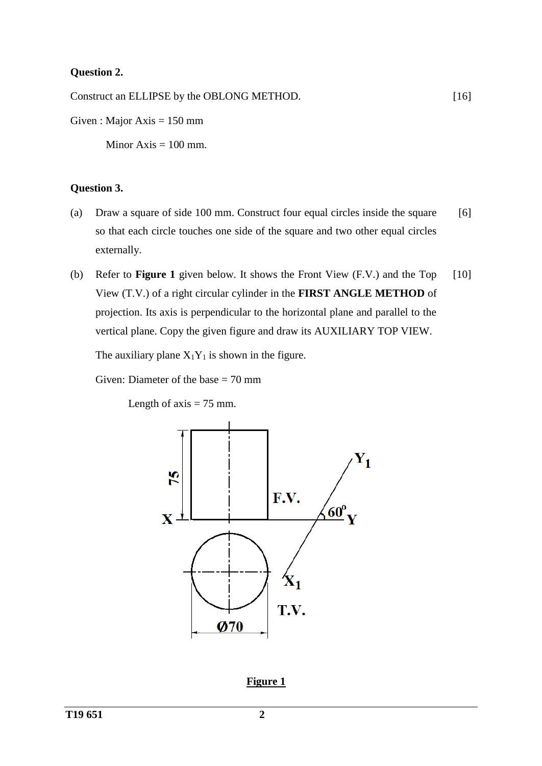# **Question 2.**

Construct an ELLIPSE by the OBLONG METHOD.

Given : Major Axis  $= 150$  mm

Minor  $Axis = 100$  mm.

#### **Question 3.**

- (a) Draw a square of side 100 mm. Construct four equal circles inside the square so that each circle touches one side of the square and two other equal circles externally. [6]
- (b) Refer to **Figure 1** given below. It shows the Front View (F.V.) and the Top View (T.V.) of a right circular cylinder in the **FIRST ANGLE METHOD** of projection. Its axis is perpendicular to the horizontal plane and parallel to the vertical plane. Copy the given figure and draw its AUXILIARY TOP VIEW. [10]

The auxiliary plane  $X_1Y_1$  is shown in the figure.

Given: Diameter of the base  $= 70$  mm

Length of  $axis = 75$  mm.



**Figure 1**

[16]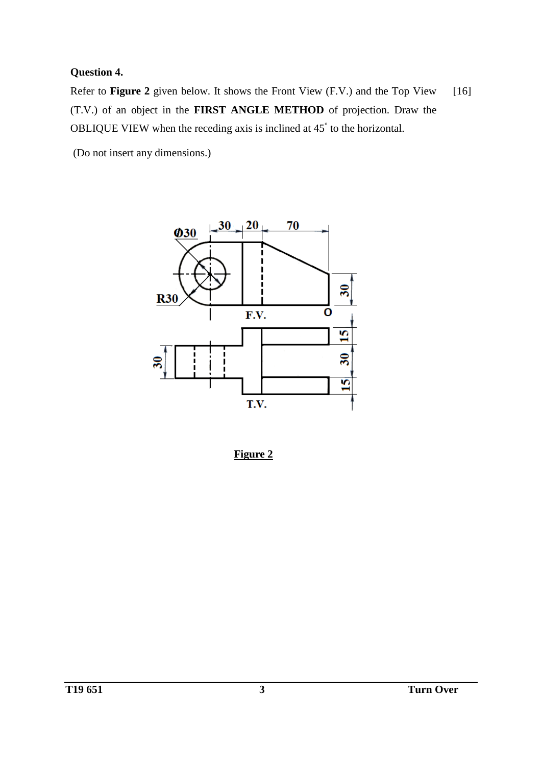# **Question 4.**

Refer to **Figure 2** given below. It shows the Front View (F.V.) and the Top View (T.V.) of an object in the **FIRST ANGLE METHOD** of projection. Draw the OBLIQUE VIEW when the receding axis is inclined at 45° to the horizontal. [16]

(Do not insert any dimensions.)



**Figure 2**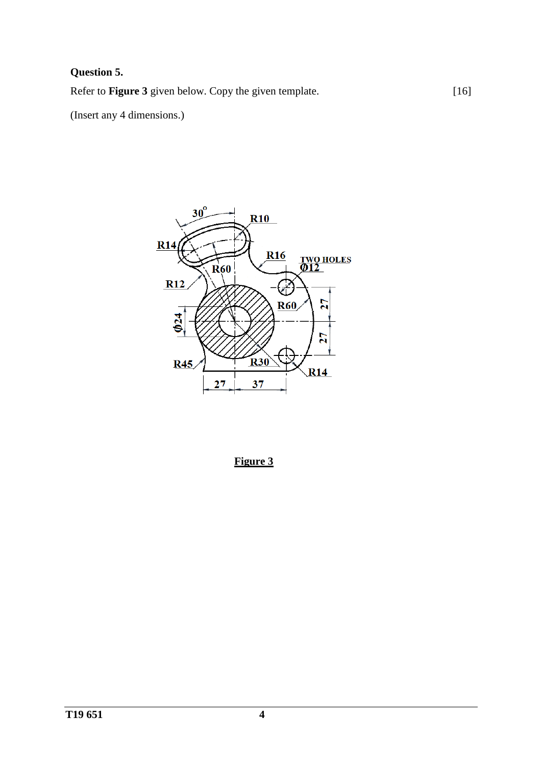# **Question 5.**

Refer to **Figure 3** given below. Copy the given template.

(Insert any 4 dimensions.)



[16]

**Figure 3**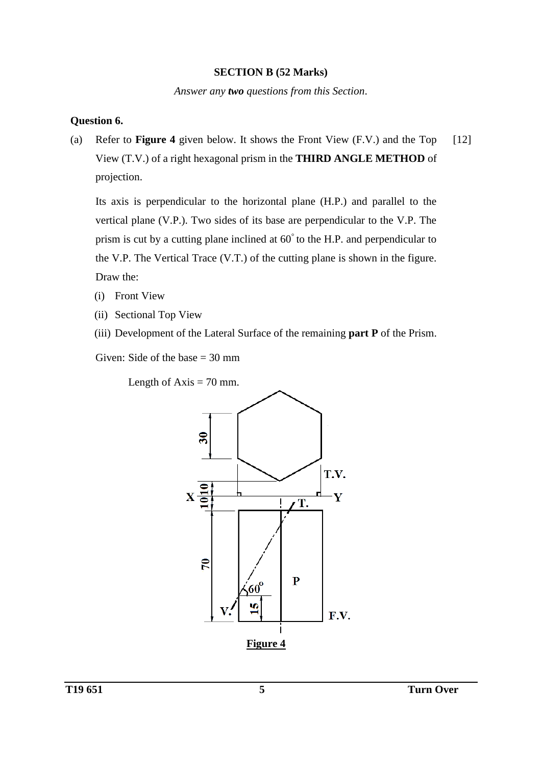#### **SECTION B (52 Marks)**

*Answer any two questions from this Section*.

### **Question 6.**

(a) Refer to **Figure 4** given below. It shows the Front View (F.V.) and the Top View (T.V.) of a right hexagonal prism in the **THIRD ANGLE METHOD** of projection. [12]

Its axis is perpendicular to the horizontal plane (H.P.) and parallel to the vertical plane (V.P.). Two sides of its base are perpendicular to the V.P. The prism is cut by a cutting plane inclined at 60° to the H.P. and perpendicular to the V.P. The Vertical Trace (V.T.) of the cutting plane is shown in the figure. Draw the:

- (i) Front View
- (ii) Sectional Top View
- (iii) Development of the Lateral Surface of the remaining **part P** of the Prism.

Given: Side of the base  $= 30$  mm

Length of  $Axis = 70$  mm.

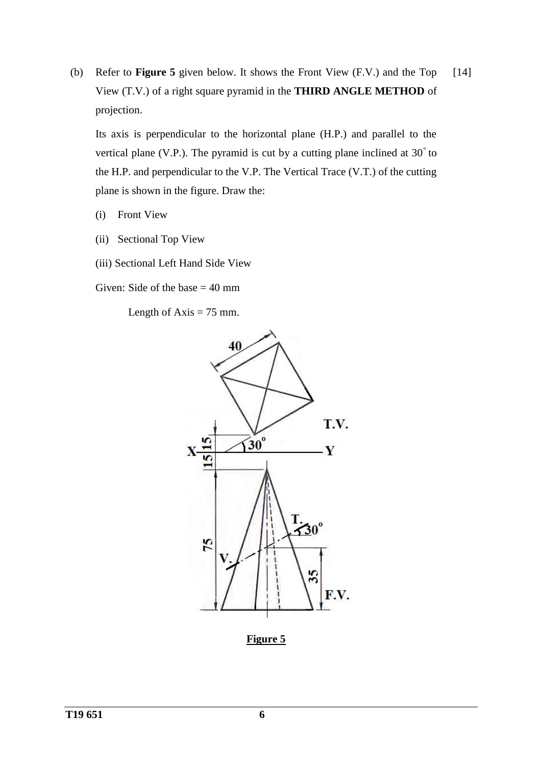(b) Refer to **Figure 5** given below. It shows the Front View (F.V.) and the Top View (T.V.) of a right square pyramid in the **THIRD ANGLE METHOD** of projection. [14]

Its axis is perpendicular to the horizontal plane (H.P.) and parallel to the vertical plane (V.P.). The pyramid is cut by a cutting plane inclined at 30° to the H.P. and perpendicular to the V.P. The Vertical Trace (V.T.) of the cutting plane is shown in the figure. Draw the:

- (i) Front View
- (ii) Sectional Top View
- (iii) Sectional Left Hand Side View

Given: Side of the base  $= 40$  mm

Length of  $Axis = 75$  mm.



**Figure 5**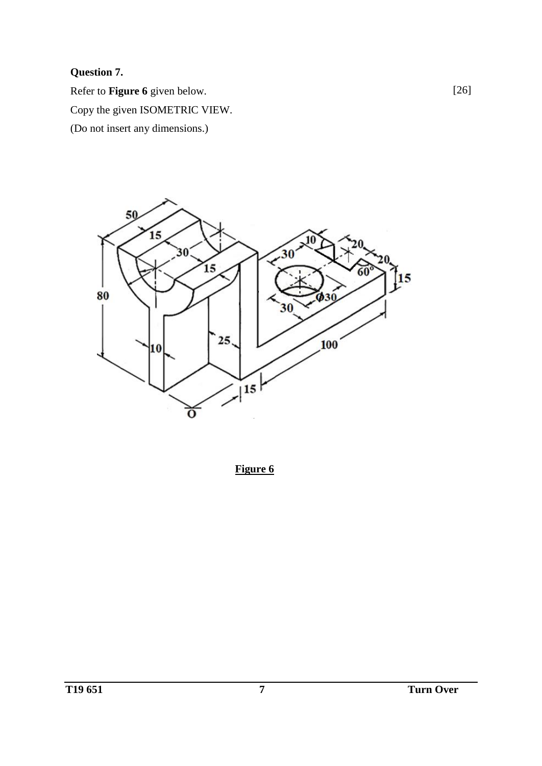# **Question 7.**

Refer to **Figure 6** given below. Copy the given ISOMETRIC VIEW. (Do not insert any dimensions.)



**Figure 6**